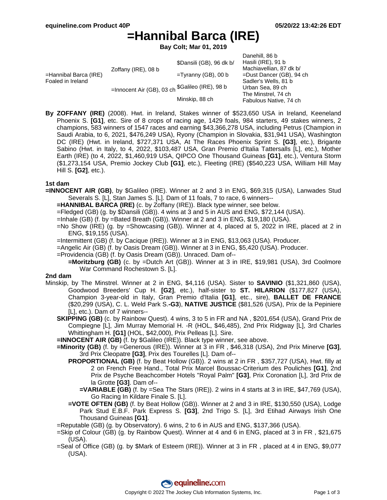Danehill, 86 b

# **=Hannibal Barca (IRE)**

**Bay Colt; Mar 01, 2019**

|                     |                          | Darieriili. OO D                                                             |
|---------------------|--------------------------|------------------------------------------------------------------------------|
| Zoffany (IRE), 08 b | \$Dansili (GB), 96 dk b/ | Hasili (IRE), 91 b                                                           |
|                     |                          | Machiavellian, 87 dk b/                                                      |
|                     | $=$ Tyranny (GB), 00 b   | $=$ Dust Dancer (GB), 94 ch                                                  |
|                     |                          | Sadler's Wells, 81 b                                                         |
|                     |                          | Urban Sea, 89 ch                                                             |
|                     |                          | The Minstrel, 74 ch                                                          |
|                     |                          | Fabulous Native, 74 ch                                                       |
|                     |                          | =Innocent Air (GB), 03 ch <sup>\$Galileo</sup> (IRE), 98 b<br>Minskip, 88 ch |

**By ZOFFANY (IRE)** (2008). Hwt. in Ireland, Stakes winner of \$523,650 USA in Ireland, Keeneland Phoenix S. **[G1]**, etc. Sire of 8 crops of racing age, 1429 foals, 984 starters, 49 stakes winners, 2 champions, 583 winners of 1547 races and earning \$43,366,278 USA, including Petrus (Champion in Saudi Arabia, to 6, 2021, \$476,249 USA), Ryony (Champion in Slovakia, \$31,941 USA), Washington DC (IRE) (Hwt. in Ireland, \$727,371 USA, At The Races Phoenix Sprint S. **[G3]**, etc.), Brigante Sabino (Hwt. in Italy, to 4, 2022, \$103,487 USA, Gran Premio d'Italia Tattersalls [L], etc.), Mother Earth (IRE) (to 4, 2022, \$1,460,919 USA, QIPCO One Thousand Guineas **[G1]**, etc.), Ventura Storm (\$1,273,154 USA, Premio Jockey Club **[G1]**, etc.), Fleeting (IRE) (\$540,223 USA, William Hill May Hill S. **[G2]**, etc.).

#### **1st dam**

- **=INNOCENT AIR (GB)**, by \$Galileo (IRE). Winner at 2 and 3 in ENG, \$69,315 (USA), Lanwades Stud Severals S. [L], Stan James S. [L]. Dam of 11 foals, 7 to race, 6 winners--
	- **=HANNIBAL BARCA (IRE)** (c. by Zoffany (IRE)). Black type winner, see below.
	- =Fledged (GB) (g. by \$Dansili (GB)). 4 wins at 3 and 5 in AUS and ENG, \$72,144 (USA).
	- =Inhale (GB) (f. by =Bated Breath (GB)). Winner at 2 and 3 in ENG, \$19,180 (USA).
	- =No Show (IRE) (g. by =Showcasing (GB)). Winner at 4, placed at 5, 2022 in IRE, placed at 2 in ENG, \$19,155 (USA).
	- =Intermittent (GB) (f. by Cacique (IRE)). Winner at 3 in ENG, \$13,063 (USA). Producer.
	- =Angelic Air (GB) (f. by Oasis Dream (GB)). Winner at 3 in ENG, \$5,420 (USA). Producer.
	- =Providencia (GB) (f. by Oasis Dream (GB)). Unraced. Dam of--
		- **=Moritzburg (GB)** (c. by =Dutch Art (GB)). Winner at 3 in IRE, \$19,981 (USA), 3rd Coolmore War Command Rochestown S. [L].

#### **2nd dam**

- Minskip, by The Minstrel. Winner at 2 in ENG, \$4,116 (USA). Sister to **SAVINIO** (\$1,321,860 (USA), Goodwood Breeders' Cup H. **[G2]**, etc.), half-sister to **ST. HILARION** (\$177,827 (USA), Champion 3-year-old in Italy, Gran Premio d'Italia **[G1]**, etc., sire), **BALLET DE FRANCE** (\$20,299 (USA), C. L. Weld Park S.**-G3**), **NATIVE JUSTICE** (\$81,526 (USA), Prix de la Pepiniere [L], etc.). Dam of 7 winners--
	- **SKIPPING (GB)** (c. by Rainbow Quest). 4 wins, 3 to 5 in FR and NA , \$201,654 (USA), Grand Prix de Compiegne [L], Jim Murray Memorial H. -R (HOL, \$46,485), 2nd Prix Ridgway [L], 3rd Charles Whittingham H. **[G1]** (HOL, \$42,000), Prix Pelleas [L]. Sire.
	- **=INNOCENT AIR (GB)** (f. by \$Galileo (IRE)). Black type winner, see above.
	- **=Minority (GB)** (f. by =Generous (IRE)). Winner at 3 in FR , \$46,318 (USA), 2nd Prix Minerve **[G3]**, 3rd Prix Cleopatre **[G3]**, Prix des Tourelles [L]. Dam of--
		- **PROPORTIONAL (GB)** (f. by Beat Hollow (GB)). 2 wins at 2 in FR , \$357,727 (USA), Hwt. filly at 2 on French Free Hand., Total Prix Marcel Boussac-Criterium des Pouliches **[G1]**, 2nd Prix de Psyche Beachcomber Hotels "Royal Palm" **[G3]**, Prix Coronation [L], 3rd Prix de la Grotte **[G3]**. Dam of--
			- **=VARIABLE (GB)** (f. by =Sea The Stars (IRE)). 2 wins in 4 starts at 3 in IRE, \$47,769 (USA), Go Racing In Kildare Finale S. [L].
		- **=VOTE OFTEN (GB)** (f. by Beat Hollow (GB)). Winner at 2 and 3 in IRE, \$130,550 (USA), Lodge Park Stud E.B.F. Park Express S. **[G3]**, 2nd Trigo S. [L], 3rd Etihad Airways Irish One Thousand Guineas **[G1]**.
	- =Reputable (GB) (g. by Observatory). 6 wins, 2 to 6 in AUS and ENG, \$137,366 (USA).
	- =Skip of Colour (GB) (g. by Rainbow Quest). Winner at 4 and 6 in ENG, placed at 3 in FR , \$21,675 (USA).
	- =Seal of Office (GB) (g. by \$Mark of Esteem (IRE)). Winner at 3 in FR , placed at 4 in ENG, \$9,077 (USA).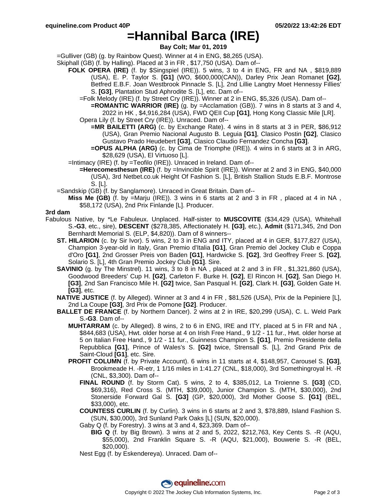## **=Hannibal Barca (IRE)**

**Bay Colt; Mar 01, 2019**

=Gulliver (GB) (g. by Rainbow Quest). Winner at 4 in ENG, \$8,265 (USA).

- Skiphall (GB) (f. by Halling). Placed at 3 in FR , \$17,750 (USA). Dam of--
	- **FOLK OPERA (IRE)** (f. by \$Singspiel (IRE)). 5 wins, 3 to 4 in ENG, FR and NA , \$819,889 (USA), E. P. Taylor S. **[G1]** (WO, \$600,000(CAN)), Darley Prix Jean Romanet **[G2]**, Betfred E.B.F. Joan Westbrook Pinnacle S. [L], 2nd Lillie Langtry Moet Hennessy Fillies' S. **[G3]**, Plantation Stud Aphrodite S. [L], etc. Dam of--
		- =Folk Melody (IRE) (f. by Street Cry (IRE)). Winner at 2 in ENG, \$5,326 (USA). Dam of--

**=ROMANTIC WARRIOR (IRE)** (g. by =Acclamation (GB)). 7 wins in 8 starts at 3 and 4, 2022 in HK , \$4,916,284 (USA), FWD QEII Cup **[G1]**, Hong Kong Classic Mile [LR].

- Opera Lily (f. by Street Cry (IRE)). Unraced. Dam of--
	- **=MR BAILETTI (ARG)** (c. by Exchange Rate). 4 wins in 8 starts at 3 in PER, \$86,912 (USA), Gran Premio Nacional Augusto B. Leguia **[G1]**, Clasico Postin **[G2]**, Clasico Gustavo Prado Heudebert **[G3]**, Clasico Claudio Fernandez Concha **[G3]**.
		- **=OPUS ALPHA (ARG)** (c. by Cima de Triomphe (IRE)). 4 wins in 6 starts at 3 in ARG, \$28,629 (USA), El Virtuoso [L].
- =Intimacy (IRE) (f. by =Teofilo (IRE)). Unraced in Ireland. Dam of--
	- **=Herecomesthesun (IRE)** (f. by =Invincible Spirit (IRE)). Winner at 2 and 3 in ENG, \$40,000 (USA), 3rd Netbet.co.uk Height Of Fashion S. [L], British Stallion Studs E.B.F. Montrose S. [L].
- =Sandskip (GB) (f. by Sanglamore). Unraced in Great Britain. Dam of--
	- **Miss Me (GB)** (f. by =Marju (IRE)). 3 wins in 6 starts at 2 and 3 in FR , placed at 4 in NA , \$58,172 (USA), 2nd Prix Finlande [L]. Producer.

### **3rd dam**

- Fabulous Native, by \*Le Fabuleux. Unplaced. Half-sister to **MUSCOVITE** (\$34,429 (USA), Whitehall S.**-G3**, etc., sire), **DESCENT** (\$278,385, Affectionately H. **[G3]**, etc.), **Admit** (\$171,345, 2nd Don Bernhardt Memorial S. (ELP, \$4,820)). Dam of 8 winners--
	- **ST. HILARION** (c. by Sir Ivor). 5 wins, 2 to 3 in ENG and ITY, placed at 4 in GER, \$177,827 (USA), Champion 3-year-old in Italy, Gran Premio d'Italia **[G1]**, Gran Premio del Jockey Club e Coppa d'Oro **[G1]**, 2nd Grosser Preis von Baden **[G1]**, Hardwicke S. **[G2]**, 3rd Geoffrey Freer S. **[G2]**, Solario S. [L], 4th Gran Premio Jockey Club **[G1]**. Sire.
	- **SAVINIO** (g. by The Minstrel). 11 wins, 3 to 8 in NA , placed at 2 and 3 in FR , \$1,321,860 (USA), Goodwood Breeders' Cup H. **[G2]**, Carleton F. Burke H. **[G2]**, El Rincon H. **[G2]**, San Diego H. **[G3]**, 2nd San Francisco Mile H. **[G2]** twice, San Pasqual H. **[G2]**, Clark H. **[G3]**, Golden Gate H. **[G3]**, etc.
	- **NATIVE JUSTICE** (f. by Alleged). Winner at 3 and 4 in FR , \$81,526 (USA), Prix de la Pepiniere [L], 2nd La Coupe **[G3]**, 3rd Prix de Pomone **[G2]**. Producer.
	- **BALLET DE FRANCE** (f. by Northern Dancer). 2 wins at 2 in IRE, \$20,299 (USA), C. L. Weld Park S.**-G3**. Dam of--
		- **MUHTARRAM** (c. by Alleged). 8 wins, 2 to 6 in ENG, IRE and ITY, placed at 5 in FR and NA , \$844,683 (USA), Hwt. older horse at 4 on Irish Free Hand., 9 1/2 - 11 fur., Hwt. older horse at 5 on Italian Free Hand., 9 1/2 - 11 fur., Guinness Champion S. **[G1]**, Premio Presidente della Repubblica **[G1]**, Prince of Wales's S. **[G2]** twice, Strensall S. [L], 2nd Grand Prix de Saint-Cloud **[G1]**, etc. Sire.
		- **PROFIT COLUMN** (f. by Private Account). 6 wins in 11 starts at 4, \$148,957, Carousel S. **[G3]**, Brookmeade H. -R-etr, 1 1/16 miles in 1:41.27 (CNL, \$18,000), 3rd Somethingroyal H. -R (CNL, \$3,300). Dam of--
			- **FINAL ROUND** (f. by Storm Cat). 5 wins, 2 to 4, \$385,012, La Troienne S. **[G3]** (CD, \$69,316), Red Cross S. (MTH, \$39,000), Junior Champion S. (MTH, \$30,000), 2nd Stonerside Forward Gal S. **[G3]** (GP, \$20,000), 3rd Mother Goose S. **[G1]** (BEL, \$33,000), etc.
			- **COUNTESS CURLIN** (f. by Curlin). 3 wins in 6 starts at 2 and 3, \$78,889, Island Fashion S. (SUN, \$30,000), 3rd Sunland Park Oaks [L] (SUN, \$20,000).
			- Gaby Q (f. by Forestry). 3 wins at 3 and 4, \$23,369. Dam of--
				- **BIG Q** (f. by Big Brown). 3 wins at 2 and 5, 2022, \$212,763, Key Cents S. -R (AQU, \$55,000), 2nd Franklin Square S. -R (AQU, \$21,000), Bouwerie S. -R (BEL, \$20,000).
			- Nest Egg (f. by Eskendereya). Unraced. Dam of--